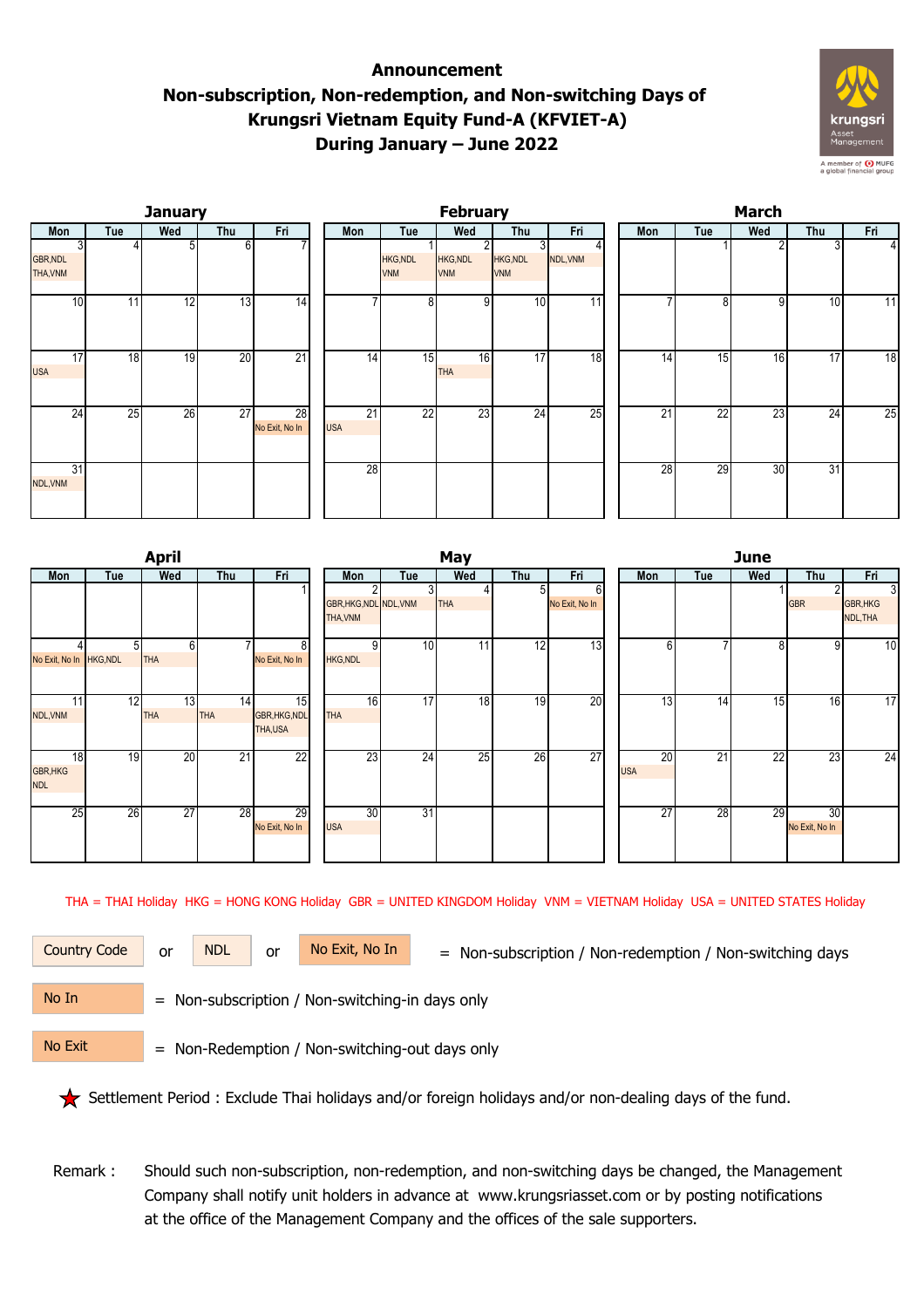## **Announcement Non-subscription, Non-redemption, and Non-switching Days of Krungsri Vietnam Equity Fund-A (KFVIET-A) During January – June 2022**



|                             |     | <b>January</b> |                 |                      |                  |                               | <b>February</b>        |                               |          | March           |                 |     |     |     |  |  |
|-----------------------------|-----|----------------|-----------------|----------------------|------------------|-------------------------------|------------------------|-------------------------------|----------|-----------------|-----------------|-----|-----|-----|--|--|
| Mon                         | Tue | Wed            | Thu             | Fri                  | Mon              | Tue                           | Wed                    | Thu                           | Fri      | Mon             | Tue             | Wed | Thu | Fri |  |  |
| <b>GBR, NDL</b><br>THA, VNM |     | 51             | 61              |                      |                  | <b>HKG, NDL</b><br><b>VNM</b> | HKG, NDL<br><b>VNM</b> | <b>HKG, NDL</b><br><b>VNM</b> | NDL, VNM |                 |                 |     |     | 4   |  |  |
| 10 <sup>1</sup>             | 11  | 12             | 13              | 14                   |                  | 8 <sup>1</sup>                | 9                      | 10                            | 11       |                 | 8               | 9   | 10  | 11  |  |  |
| 17<br><b>USA</b>            | 18  | 19             | 20              | 21                   | 14               | 15                            | 16<br><b>THA</b>       | 17                            | 18       | 14              | 15              | 16  | 17  | 18  |  |  |
| 24                          | 25  | 26             | $\overline{27}$ | 28<br>No Exit, No In | 21<br><b>USA</b> | 22                            | 23                     | 24                            | 25       | $\overline{21}$ | $\overline{22}$ | 23  | 24  | 25  |  |  |
| 31<br>NDL, VNM              |     |                |                 |                      | 28               |                               |                        |                               |          | 28              | 29              | 30  | 31  |     |  |  |

|                         |     | <b>April</b>   |            |                      |                        |     | May |     | <b>June</b>    |                 |     |                 |                |          |  |
|-------------------------|-----|----------------|------------|----------------------|------------------------|-----|-----|-----|----------------|-----------------|-----|-----------------|----------------|----------|--|
| Mon                     | Tue | Wed            | Thu        | Fri                  | Mon                    | Tue | Wed | Thu | Fri            | Mon             | Tue | Wed             | Thu            | Fri      |  |
|                         |     |                |            |                      |                        | 3   |     | 5   | 6              |                 |     |                 | 2              | 3        |  |
|                         |     |                |            |                      | GBR, HKG, NDL NDL, VNM |     | THA |     | No Exit, No In |                 |     |                 | <b>GBR</b>     | GBR, HKG |  |
|                         |     |                |            |                      | THA, VNM               |     |     |     |                |                 |     |                 |                | NDL, THA |  |
|                         |     | 6 <sup>1</sup> |            | 8 <sup>1</sup>       | q                      | 10  | 11  | 12  | 13             | 6               |     | 8               | $\overline{9}$ | 10       |  |
| No Exit, No In HKG, NDL |     | <b>THA</b>     |            | No Exit, No In       | <b>HKG, NDL</b>        |     |     |     |                |                 |     |                 |                |          |  |
|                         |     |                |            |                      |                        |     |     |     |                |                 |     |                 |                |          |  |
| 11l                     | 12  | 13             | 14         | 15                   | 16                     | 17  | 18  | 19  | 20             | 13 <sub>1</sub> | 14  | 15              | 16             | 17       |  |
| NDL, VNM                |     | <b>THA</b>     | <b>THA</b> | <b>GBR, HKG, NDL</b> | <b>THA</b>             |     |     |     |                |                 |     |                 |                |          |  |
|                         |     |                |            | THA,USA              |                        |     |     |     |                |                 |     |                 |                |          |  |
| 18                      | 19  | 20             | 21         | 22                   | 23                     | 24  | 25  | 26  | 27             | 20              | 21  | $\overline{22}$ | 23             | 24       |  |
| <b>GBR, HKG</b>         |     |                |            |                      |                        |     |     |     |                | <b>USA</b>      |     |                 |                |          |  |
| <b>NDL</b>              |     |                |            |                      |                        |     |     |     |                |                 |     |                 |                |          |  |
|                         |     |                |            |                      |                        |     |     |     |                |                 |     |                 |                |          |  |
| 25                      | 26  | 27             | 28         | 29                   | 30                     | 31  |     |     |                | $\overline{27}$ | 28  | 29              | 30             |          |  |
|                         |     |                |            | No Exit, No In       | <b>USA</b>             |     |     |     |                |                 |     |                 | No Exit, No In |          |  |
|                         |     |                |            |                      |                        |     |     |     |                |                 |     |                 |                |          |  |

THA = THAI Holiday HKG = HONG KONG Holiday GBR = UNITED KINGDOM Holiday VNM = VIETNAM Holiday USA = UNITED STATES Holiday

or NDL or

Country Code or NDL or No Exit, No In = Non-subscription / Non-redemption / Non-switching days

 = Non-subscription / Non-switching-in days only No In

 = Non-Redemption / Non-switching-out days only No Exit

Settlement Period : Exclude Thai holidays and/or foreign holidays and/or non-dealing days of the fund.

 Remark : Should such non-subscription, non-redemption, and non-switching days be changed, the Management Company shall notify unit holders in advance at www.krungsriasset.com or by posting notifications at the office of the Management Company and the offices of the sale supporters.